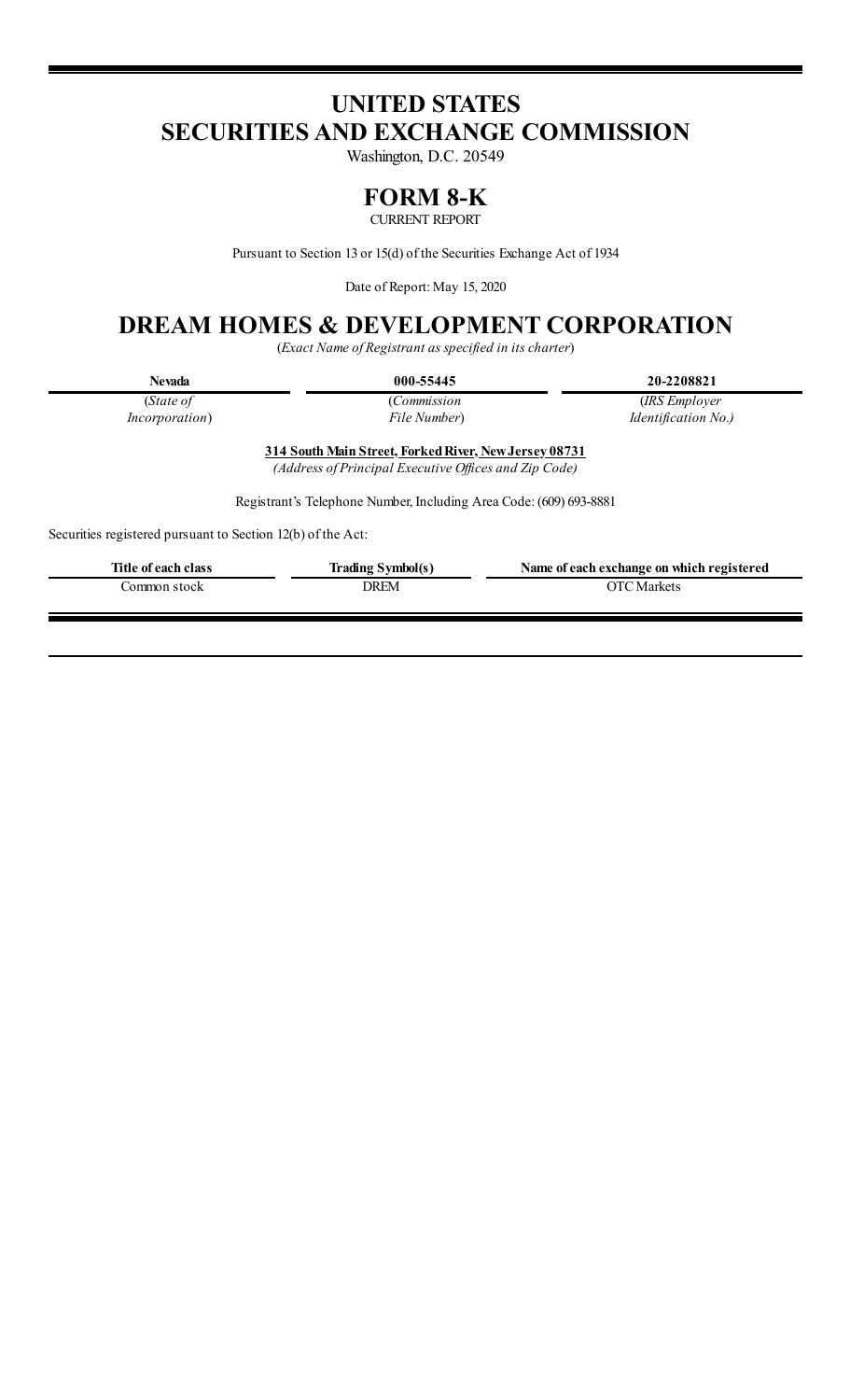# **UNITED STATES SECURITIES AND EXCHANGE COMMISSION**

Washington, D.C. 20549

## **FORM 8-K**

CURRENT REPORT

Pursuant to Section 13 or 15(d) of the Securities Exchange Act of 1934

Date of Report: May 15, 2020

# **DREAM HOMES & DEVELOPMENT CORPORATION**

(*Exact Name of Registrant as specified in its charter*)

| ٦<br>l<br>ı<br>v |
|------------------|
|------------------|

**Nevada 000-55445 20-2208821**

(*State of Incorporation*) (*Commission File Number*)

(*IRS Employer Identification No.)*

**314 South Main Street, ForkedRiver, NewJersey 08731**

*(Address of Principal Executive Of ices and Zip Code)*

Registrant's Telephone Number, Including Area Code: (609) 693-8881

Securities registered pursuant to Section 12(b) of the Act:

| Title of each class | <b>Trading Symbol(s)</b> | Name of each exchange on which registered |
|---------------------|--------------------------|-------------------------------------------|
| Common stock        | DREM                     | <b>OTC</b> Markets                        |
|                     |                          |                                           |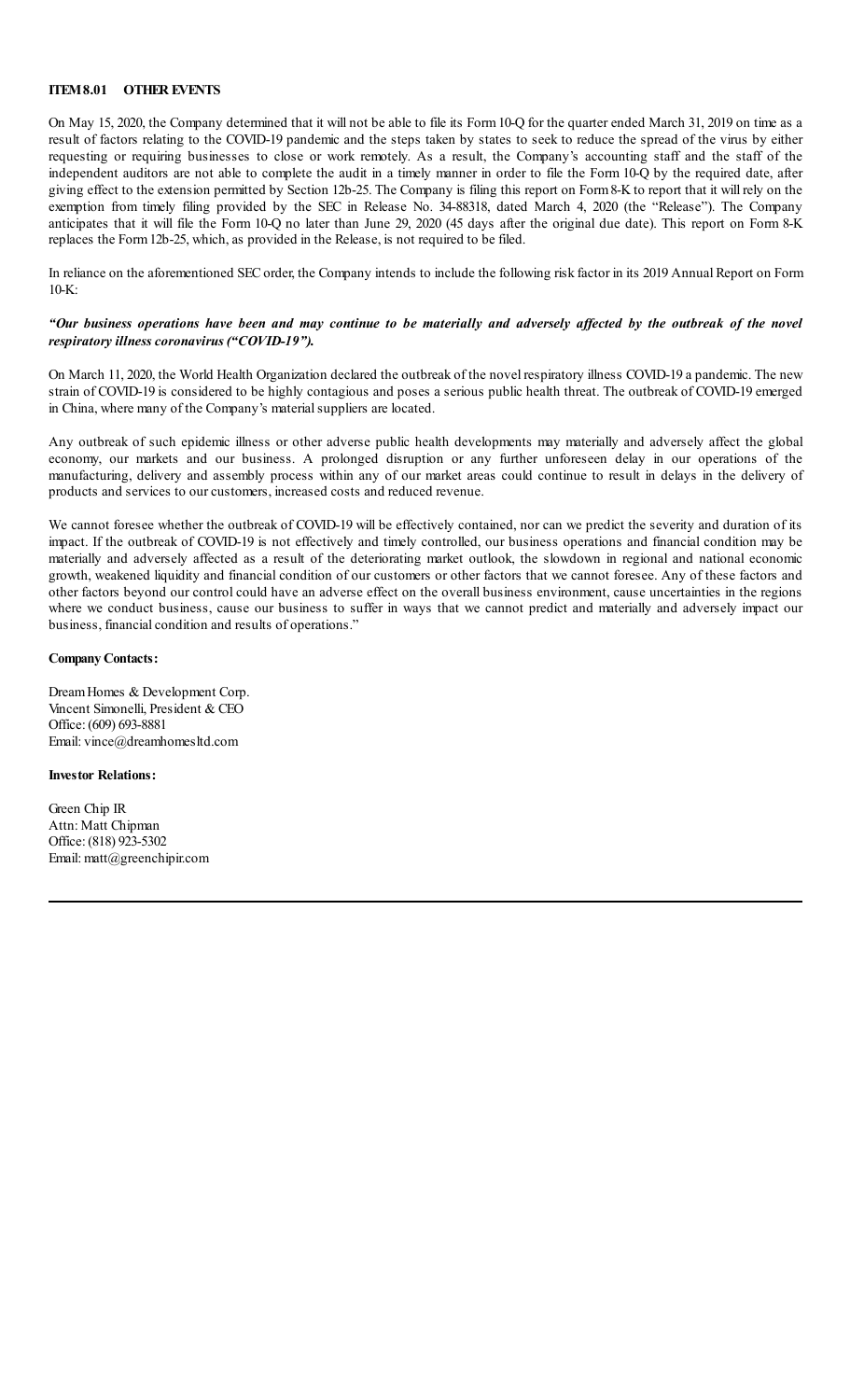#### **ITEM8.01 OTHER EVENTS**

On May 15, 2020, the Company determined that it will not be able to file its Form10-Q for the quarter ended March 31, 2019 on time as a result of factors relating to the COVID-19 pandemic and the steps taken by states to seek to reduce the spread of the virus by either requesting or requiring businesses to close or work remotely. As a result, the Company's accounting staff and the staff of the independent auditors are not able to complete the audit in a timely manner in order to file the Form 10-Q by the required date, after giving effect to the extension permitted by Section 12b-25. The Company is filing this report on Form8-K to report that it will rely on the exemption from timely filing provided by the SEC in Release No. 34-88318, dated March 4, 2020 (the "Release"). The Company anticipates that it will file the Form 10-Q no later than June 29, 2020 (45 days after the original due date). This report on Form 8-K replaces the Form12b-25, which, as provided in the Release, is not required to be filed.

In reliance on the aforementioned SECorder, the Company intends to include the following risk factor in its 2019 Annual Report on Form 10-K:

### "Our business operations have been and may continue to be materially and adversely affected by the outbreak of the novel *respiratory illness coronavirus ("COVID-19").*

On March 11, 2020, the World Health Organization declared the outbreak of the novel respiratory illness COVID-19 a pandemic. The new strain of COVID-19 is considered to be highly contagious and poses a serious public health threat. The outbreak of COVID-19 emerged in China, where many of the Company's material suppliers are located.

Any outbreak of such epidemic illness or other adverse public health developments may materially and adversely affect the global economy, our markets and our business. A prolonged disruption or any further unforeseen delay in our operations of the manufacturing, delivery and assembly process within any of our market areas could continue to result in delays in the delivery of products and services to our customers, increased costs and reduced revenue.

We cannot foresee whether the outbreak of COVID-19 will be effectively contained, nor can we predict the severity and duration of its impact. If the outbreak of COVID-19 is not effectively and timely controlled, our business operations and financial condition may be materially and adversely affected as a result of the deteriorating market outlook, the slowdown in regional and national economic growth, weakened liquidity and financial condition of our customers or other factors that we cannot foresee. Any of these factors and other factors beyond our control could have an adverse effect on the overall business environment, cause uncertainties in the regions where we conduct business, cause our business to suffer in ways that we cannot predict and materially and adversely impact our business, financial condition and results of operations."

#### **Company Contacts:**

DreamHomes & Development Corp. Vincent Simonelli, President & CEO Office: (609) 693-8881 Email: vince@dreamhomesltd.com

#### **Investor Relations:**

Green Chip IR Attn: Matt Chipman Office: (818) 923-5302 Email: matt@greenchipir.com